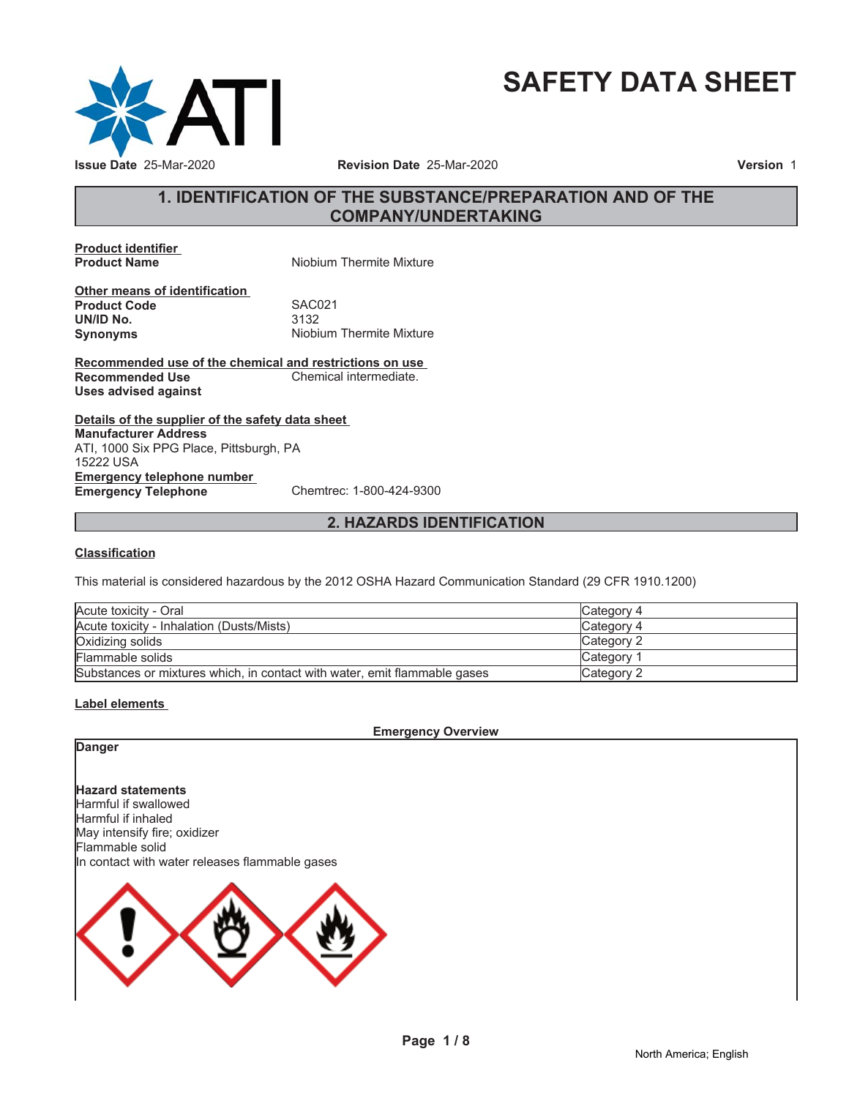

# **SAFETY DATA SHEET**

# **1. IDENTIFICATION OF THE SUBSTANCE/PREPARATION AND OF THE COMPANY/UNDERTAKING**

**Product identifier**

**Niobium Thermite Mixture** 

**Other means of identification Product Code 5AC021**<br> **UN/ID No.** 3132 **UN/ID No. Synonyms** Niobium Thermite Mixture

**Recommended use of the chemical and restrictions on use Recommended Use Chemical intermediate. Uses advised against**

**Details of the supplier of the safety data sheet Emergency telephone number Emergency Telephone** Chemtrec: 1-800-424-9300 **Manufacturer Address** ATI, 1000 Six PPG Place, Pittsburgh, PA 15222 USA

# **2. HAZARDS IDENTIFICATION**

#### **Classification**

This material is considered hazardous by the 2012 OSHA Hazard Communication Standard (29 CFR 1910.1200)

| Acute toxicity - Oral                                                     | Category 4 |
|---------------------------------------------------------------------------|------------|
| Acute toxicity - Inhalation (Dusts/Mists)                                 | Category 4 |
| Oxidizing solids                                                          | Category 2 |
| Flammable solids                                                          | Category 1 |
| Substances or mixtures which, in contact with water, emit flammable gases | Category 2 |

#### **Label elements**

**Emergency Overview**

### **Danger**

**Hazard statements** Harmful if swallowed Harmful if inhaled May intensify fire; oxidizer Flammable solid In contact with water releases flammable gases

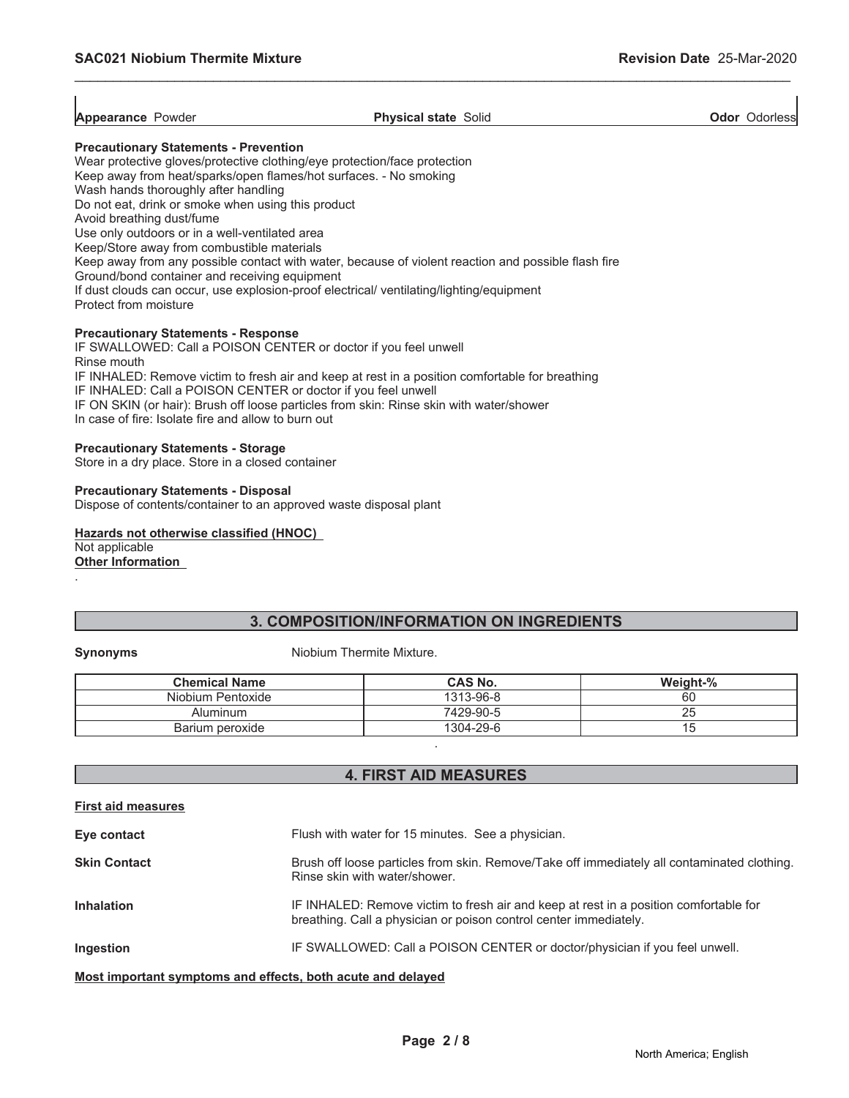| <b>Appearance Powder</b> | <b>Physical state Solid</b> |  |
|--------------------------|-----------------------------|--|

\_\_\_\_\_\_\_\_\_\_\_\_\_\_\_\_\_\_\_\_\_\_\_\_\_\_\_\_\_\_\_\_\_\_\_\_\_\_\_\_\_\_\_\_\_\_\_\_\_\_\_\_\_\_\_\_\_\_\_\_\_\_\_\_\_\_\_\_\_\_\_\_\_\_\_\_\_\_\_\_\_\_\_\_\_\_\_\_\_\_\_\_\_

**Ador** Odorless

#### **Precautionary Statements - Prevention**

Wear protective gloves/protective clothing/eye protection/face protection Keep away from heat/sparks/open flames/hot surfaces. - No smoking Wash hands thoroughly after handling Do not eat, drink or smoke when using this product Avoid breathing dust/fume Use only outdoors or in a well-ventilated area Keep/Store away from combustible materials Keep away from any possible contact with water, because of violent reaction and possible flash fire Ground/bond container and receiving equipment If dust clouds can occur, use explosion-proof electrical/ ventilating/lighting/equipment Protect from moisture **Precautionary Statements - Response**

# IF SWALLOWED: Call a POISON CENTER or doctor if you feel unwell

Rinse mouth IF INHALED: Remove victim to fresh air and keep at rest in a position comfortable for breathing IF INHALED: Call a POISON CENTER or doctor if you feel unwell IF ON SKIN (or hair): Brush off loose particles from skin: Rinse skin with water/shower In case of fire: Isolate fire and allow to burn out

### **Precautionary Statements - Storage**

Store in a dry place. Store in a closed container

#### **Precautionary Statements - Disposal** Dispose of contents/container to an approved waste disposal plant

**Hazards not otherwise classified (HNOC)** Not applicable **Other Information**

# **3. COMPOSITION/INFORMATION ON INGREDIENTS**

.

#### **Synonyms** Niobium Thermite Mixture.

| <b>Chemical Name</b> | CAS No.   | Weight-% |
|----------------------|-----------|----------|
| Niobium Pentoxide    | 1313-96-8 | 60       |
| Aluminum             | 7429-90-5 | 25       |
| Barium peroxide      | 1304-29-6 |          |
|                      |           |          |

# **4. FIRST AID MEASURES**

| <b>First aid measures</b>                                   |                                                                                                                                                            |  |
|-------------------------------------------------------------|------------------------------------------------------------------------------------------------------------------------------------------------------------|--|
| Eye contact                                                 | Flush with water for 15 minutes. See a physician.                                                                                                          |  |
| <b>Skin Contact</b>                                         | Brush off loose particles from skin. Remove/Take off immediately all contaminated clothing.<br>Rinse skin with water/shower.                               |  |
| Inhalation                                                  | IF INHALED: Remove victim to fresh air and keep at rest in a position comfortable for<br>breathing. Call a physician or poison control center immediately. |  |
| Ingestion                                                   | IF SWALLOWED: Call a POISON CENTER or doctor/physician if you feel unwell.                                                                                 |  |
| Most important symptoms and effects, both acute and delayed |                                                                                                                                                            |  |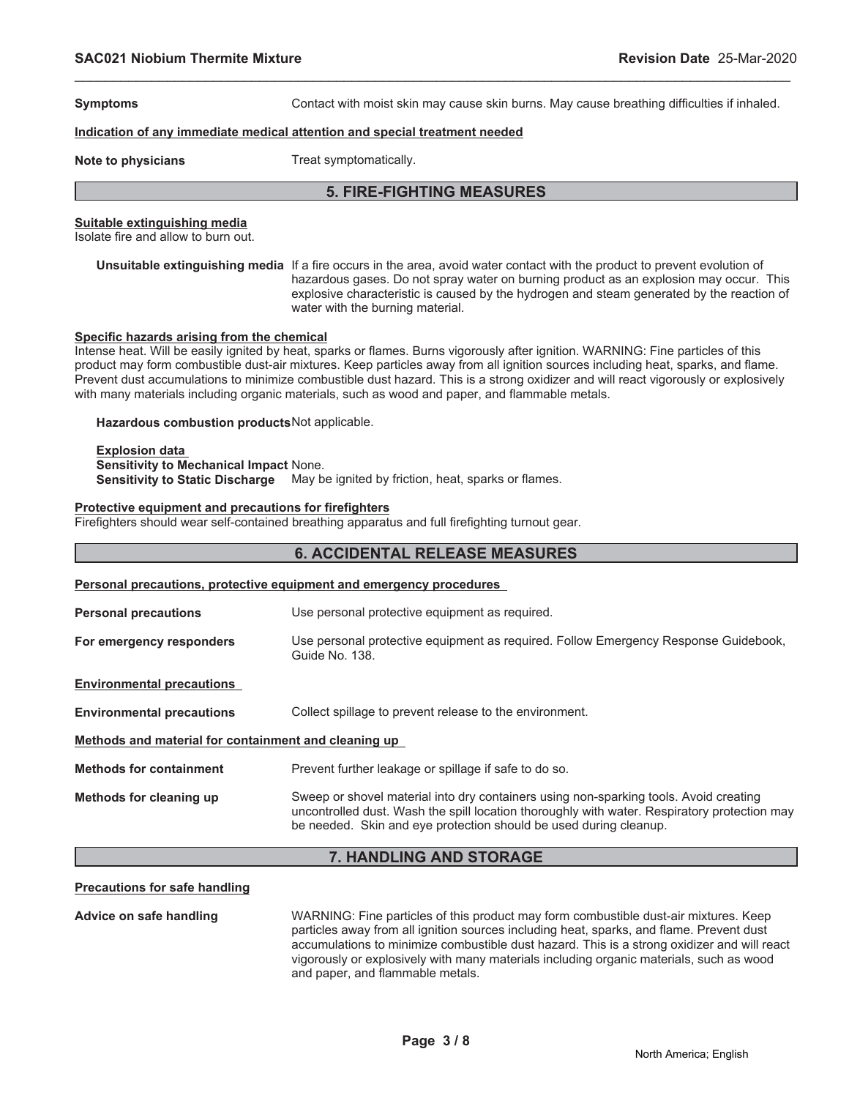**Symptoms Contact with moist skin may cause skin burns. May cause breathing difficulties if inhaled.** 

#### **Indication of any immediate medical attention and special treatment needed**

**Note to physicians** Treat symptomatically.

# **5. FIRE-FIGHTING MEASURES**

\_\_\_\_\_\_\_\_\_\_\_\_\_\_\_\_\_\_\_\_\_\_\_\_\_\_\_\_\_\_\_\_\_\_\_\_\_\_\_\_\_\_\_\_\_\_\_\_\_\_\_\_\_\_\_\_\_\_\_\_\_\_\_\_\_\_\_\_\_\_\_\_\_\_\_\_\_\_\_\_\_\_\_\_\_\_\_\_\_\_\_\_\_

#### **Suitable extinguishing media**

Isolate fire and allow to burn out.

**Unsuitable extinguishing media** If a fire occurs in the area, avoid water contact with the product to prevent evolution of hazardous gases. Do not spray water on burning product as an explosion may occur. This explosive characteristic is caused by the hydrogen and steam generated by the reaction of water with the burning material.

#### **Specific hazards arising from the chemical**

Intense heat. Will be easily ignited by heat, sparks or flames. Burns vigorously after ignition. WARNING: Fine particles of this product may form combustible dust-air mixtures. Keep particles away from all ignition sources including heat, sparks, and flame. Prevent dust accumulations to minimize combustible dust hazard. This is a strong oxidizer and will react vigorously or explosively with many materials including organic materials, such as wood and paper, and flammable metals.

**Hazardous combustion products**Not applicable.

#### **Explosion data Sensitivity to Mechanical Impact** None. **Sensitivity to Static Discharge** May be ignited by friction, heat, sparks or flames.

#### **Protective equipment and precautions for firefighters**

Firefighters should wear self-contained breathing apparatus and full firefighting turnout gear.

# **6. ACCIDENTAL RELEASE MEASURES Personal precautions, protective equipment and emergency procedures Personal precautions** Use personal protective equipment as required. **For emergency responders** Use personal protective equipment as required. Follow Emergency Response Guidebook, Guide No. 138. **Environmental precautions Environmental precautions** Collect spillage to prevent release to the environment. **Methods and material for containment and cleaning up Methods for containment** Prevent further leakage or spillage if safe to do so. **Methods for cleaning up** Sweep or shovel material into dry containers using non-sparking tools. Avoid creating uncontrolled dust. Wash the spill location thoroughly with water. Respiratory protection may be needed. Skin and eye protection should be used during cleanup.

# **7. HANDLING AND STORAGE**

#### **Precautions for safe handling**

**Advice on safe handling** WARNING: Fine particles of this product may form combustible dust-air mixtures. Keep particles away from all ignition sources including heat, sparks, and flame. Prevent dust accumulations to minimize combustible dust hazard. This is a strong oxidizer and will react vigorously or explosively with many materials including organic materials, such as wood and paper, and flammable metals.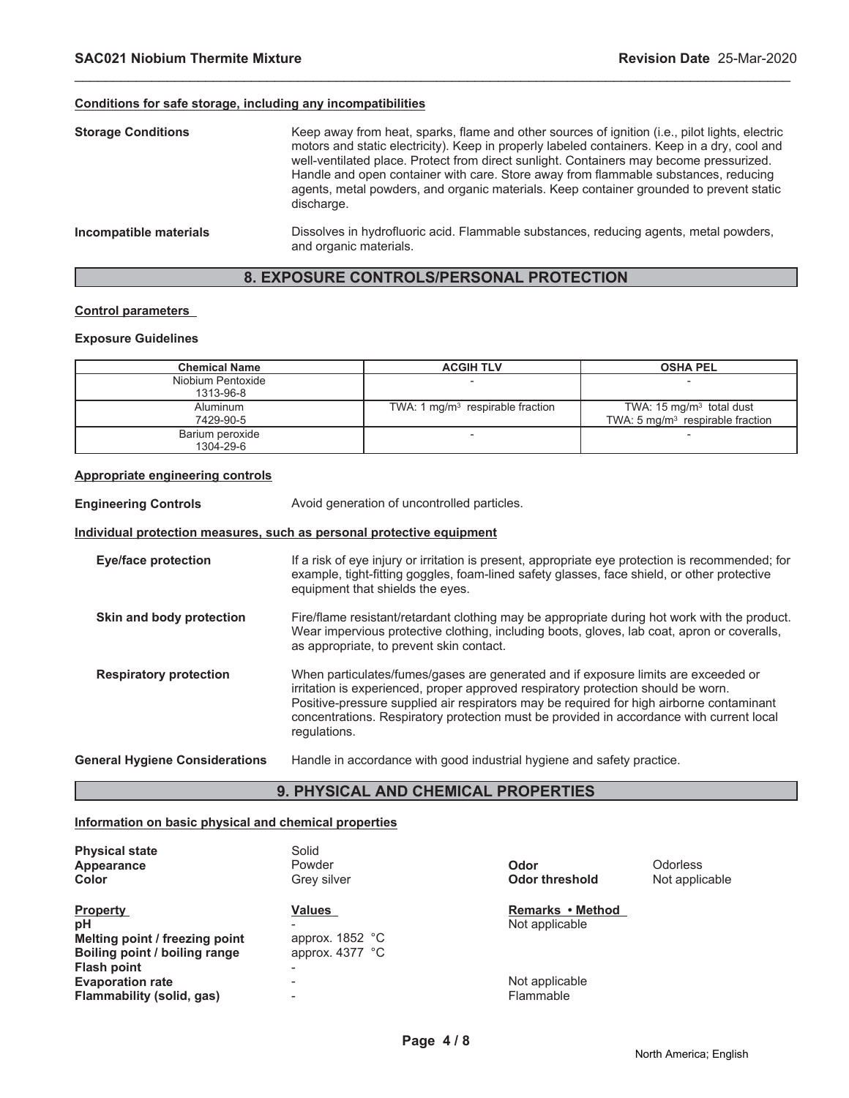#### **Conditions for safe storage, including any incompatibilities**

| <b>Storage Conditions</b> | Keep away from heat, sparks, flame and other sources of ignition (i.e., pilot lights, electric<br>motors and static electricity). Keep in properly labeled containers. Keep in a dry, cool and<br>well-ventilated place. Protect from direct sunlight. Containers may become pressurized.<br>Handle and open container with care. Store away from flammable substances, reducing<br>agents, metal powders, and organic materials. Keep container grounded to prevent static<br>discharge. |
|---------------------------|-------------------------------------------------------------------------------------------------------------------------------------------------------------------------------------------------------------------------------------------------------------------------------------------------------------------------------------------------------------------------------------------------------------------------------------------------------------------------------------------|
| Incompatible materials    | Dissolves in hydrofluoric acid. Flammable substances, reducing agents, metal powders,<br>and organic materials.                                                                                                                                                                                                                                                                                                                                                                           |

\_\_\_\_\_\_\_\_\_\_\_\_\_\_\_\_\_\_\_\_\_\_\_\_\_\_\_\_\_\_\_\_\_\_\_\_\_\_\_\_\_\_\_\_\_\_\_\_\_\_\_\_\_\_\_\_\_\_\_\_\_\_\_\_\_\_\_\_\_\_\_\_\_\_\_\_\_\_\_\_\_\_\_\_\_\_\_\_\_\_\_\_\_

# **8. EXPOSURE CONTROLS/PERSONAL PROTECTION**

#### **Control parameters**

#### **Exposure Guidelines**

| <b>Chemical Name</b> | <b>ACGIH TLV</b>                   | <b>OSHA PEL</b>                             |
|----------------------|------------------------------------|---------------------------------------------|
| Niobium Pentoxide    |                                    |                                             |
| 1313-96-8            |                                    |                                             |
| Aluminum             | TWA: 1 $mq/m3$ respirable fraction | TWA: $15 \text{ mg/m}^3$ total dust         |
| 7429-90-5            |                                    | TWA: $5 \text{ mg/m}^3$ respirable fraction |
| Barium peroxide      |                                    |                                             |
| 1304-29-6            |                                    |                                             |

#### **Appropriate engineering controls**

**Engineering Controls Avoid generation of uncontrolled particles.** 

# **Individual protection measures, such as personal protective equipment**

**Eye/face protection** If a risk of eye injury or irritation is present, appropriate eye protection is recommended; for example, tight-fitting goggles, foam-lined safety glasses, face shield, or other protective equipment that shields the eyes. **Skin and body protection** Fire/flame resistant/retardant clothing may be appropriate during hot work with the product. Wear impervious protective clothing, including boots, gloves, lab coat, apron or coveralls, as appropriate, to prevent skin contact. **Respiratory protection** When particulates/fumes/gases are generated and if exposure limits are exceeded or irritation is experienced, proper approved respiratory protection should be worn. Positive-pressure supplied air respirators may be required for high airborne contaminant concentrations. Respiratory protection must be provided in accordance with current local regulations. **General Hygiene Considerations** Handle in accordance with good industrial hygiene and safety practice.

#### **9. PHYSICAL AND CHEMICAL PROPERTIES**

#### **Information on basic physical and chemical properties**

| <b>Physical state</b><br>Appearance<br><b>Color</b>                                                            | Solid<br>Powder<br>Grey silver                          | Odor<br><b>Odor threshold</b>      | <b>Odorless</b><br>Not applicable |
|----------------------------------------------------------------------------------------------------------------|---------------------------------------------------------|------------------------------------|-----------------------------------|
| <b>Property</b><br>рH<br>Melting point / freezing point<br>Boiling point / boiling range<br><b>Flash point</b> | <b>Values</b><br>approx. $1852 °C$<br>approx. $4377 °C$ | Remarks • Method<br>Not applicable |                                   |
| <b>Evaporation rate</b><br>Flammability (solid, gas)                                                           |                                                         | Not applicable<br>Flammable        |                                   |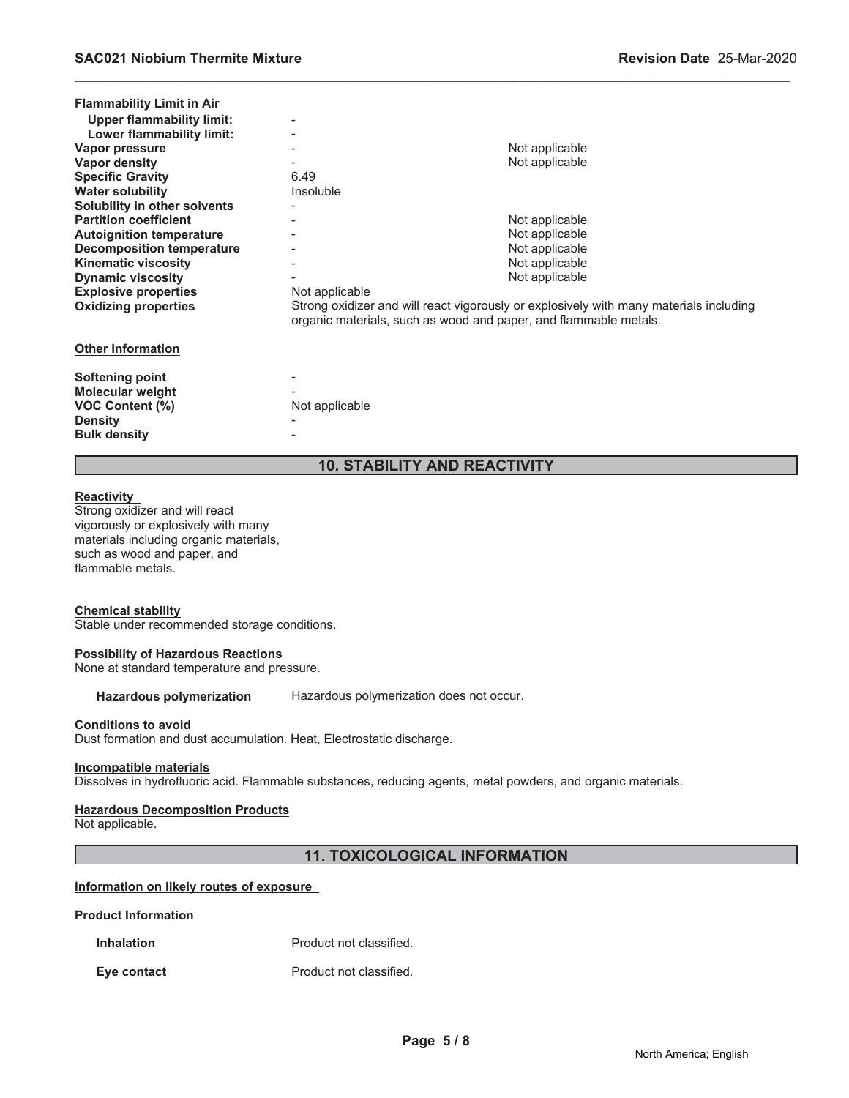| <b>Flammability Limit in Air</b> |                |                                                                                                                                                            |
|----------------------------------|----------------|------------------------------------------------------------------------------------------------------------------------------------------------------------|
| Upper flammability limit:        |                |                                                                                                                                                            |
| Lower flammability limit:        |                |                                                                                                                                                            |
| Vapor pressure                   |                | Not applicable                                                                                                                                             |
| <b>Vapor density</b>             |                | Not applicable                                                                                                                                             |
| <b>Specific Gravity</b>          | 6.49           |                                                                                                                                                            |
| <b>Water solubility</b>          | Insoluble      |                                                                                                                                                            |
| Solubility in other solvents     |                |                                                                                                                                                            |
| <b>Partition coefficient</b>     |                | Not applicable                                                                                                                                             |
| <b>Autoignition temperature</b>  |                | Not applicable                                                                                                                                             |
| <b>Decomposition temperature</b> |                | Not applicable                                                                                                                                             |
| <b>Kinematic viscosity</b>       |                | Not applicable                                                                                                                                             |
| <b>Dynamic viscosity</b>         |                | Not applicable                                                                                                                                             |
| <b>Explosive properties</b>      | Not applicable |                                                                                                                                                            |
| <b>Oxidizing properties</b>      |                | Strong oxidizer and will react vigorously or explosively with many materials including<br>organic materials, such as wood and paper, and flammable metals. |
| <b>Other Information</b>         |                |                                                                                                                                                            |
| <b>Softening point</b>           |                |                                                                                                                                                            |
| <b>Molecular weight</b>          |                |                                                                                                                                                            |
| <b>VOC Content (%)</b>           | Not applicable |                                                                                                                                                            |
|                                  |                |                                                                                                                                                            |
| <b>Density</b>                   |                |                                                                                                                                                            |
| <b>Bulk density</b>              |                |                                                                                                                                                            |
|                                  |                |                                                                                                                                                            |

\_\_\_\_\_\_\_\_\_\_\_\_\_\_\_\_\_\_\_\_\_\_\_\_\_\_\_\_\_\_\_\_\_\_\_\_\_\_\_\_\_\_\_\_\_\_\_\_\_\_\_\_\_\_\_\_\_\_\_\_\_\_\_\_\_\_\_\_\_\_\_\_\_\_\_\_\_\_\_\_\_\_\_\_\_\_\_\_\_\_\_\_\_

# **10. STABILITY AND REACTIVITY**

#### **Reactivity**

Strong oxidizer and will react vigorously or explosively with many materials including organic materials, such as wood and paper, and flammable metals.

#### **Chemical stability**

Stable under recommended storage conditions.

#### **Possibility of Hazardous Reactions**

None at standard temperature and pressure.

**Hazardous polymerization** Hazardous polymerization does not occur.

#### **Conditions to avoid**

Dust formation and dust accumulation. Heat, Electrostatic discharge.

#### **Incompatible materials**

Dissolves in hydrofluoric acid. Flammable substances, reducing agents, metal powders, and organic materials.

#### **Hazardous Decomposition Products**

Not applicable.

# **11. TOXICOLOGICAL INFORMATION**

#### **Information on likely routes of exposure**

#### **Product Information**

**Inhalation** Product not classified.

**Eye contact Exercise Exercise Exercise A** Product not classified.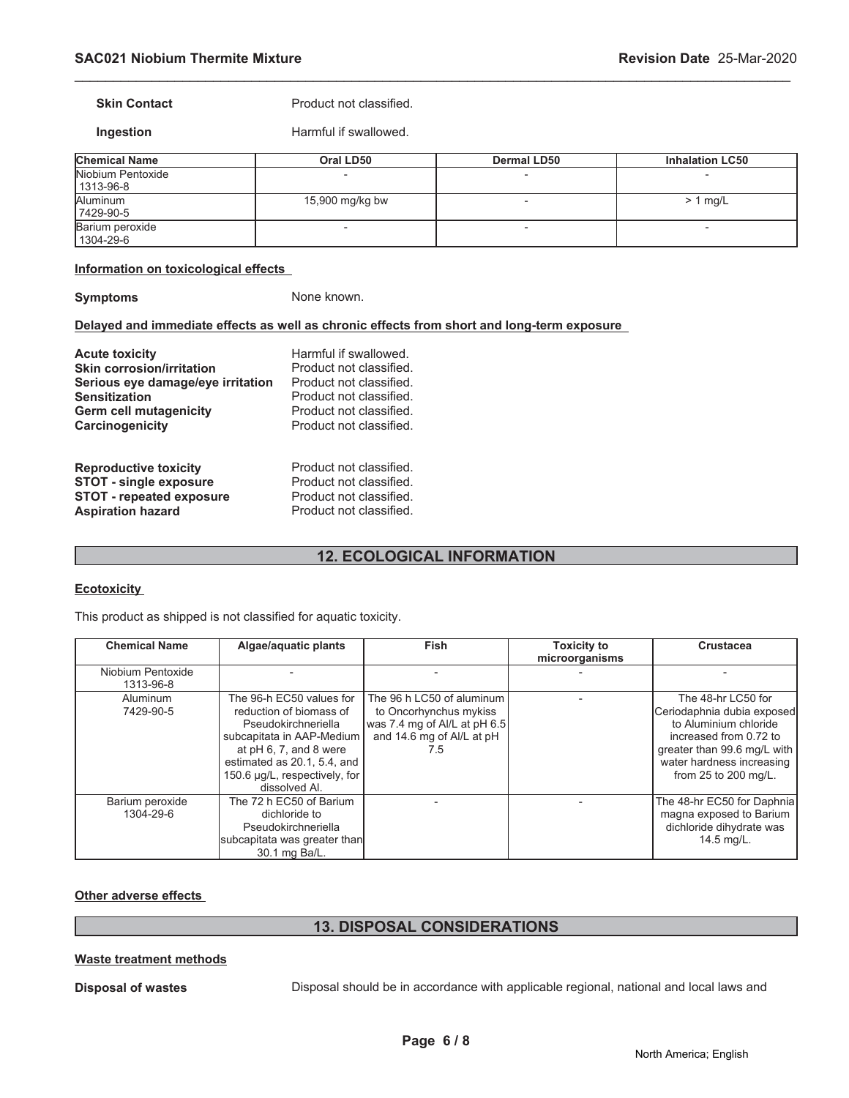**Skin Contact Product not classified.** 

**Ingestion** Harmful if swallowed.

| <b>Chemical Name</b>             | Oral LD50       | <b>Dermal LD50</b> | <b>Inhalation LC50</b> |
|----------------------------------|-----------------|--------------------|------------------------|
| Niobium Pentoxide<br>  1313-96-8 |                 |                    |                        |
| Aluminum<br>7429-90-5            | 15,900 mg/kg bw |                    | $> 1$ mg/L             |
| Barium peroxide<br>  1304-29-6   |                 |                    | -                      |

\_\_\_\_\_\_\_\_\_\_\_\_\_\_\_\_\_\_\_\_\_\_\_\_\_\_\_\_\_\_\_\_\_\_\_\_\_\_\_\_\_\_\_\_\_\_\_\_\_\_\_\_\_\_\_\_\_\_\_\_\_\_\_\_\_\_\_\_\_\_\_\_\_\_\_\_\_\_\_\_\_\_\_\_\_\_\_\_\_\_\_\_\_

#### **Information on toxicological effects**

**Symptoms** None known.

#### **Delayed and immediate effects as well as chronic effects from short and long-term exposure**

| <b>Acute toxicity</b>             | Harmful if swallowed.   |
|-----------------------------------|-------------------------|
| <b>Skin corrosion/irritation</b>  | Product not classified. |
| Serious eye damage/eye irritation | Product not classified. |
| <b>Sensitization</b>              | Product not classified. |
| Germ cell mutagenicity            | Product not classified. |
| Carcinogenicity                   | Product not classified. |
| <b>Reproductive toxicity</b>      | Product not classified. |
| <b>STOT - single exposure</b>     | Product not classified. |
| <b>STOT - repeated exposure</b>   | Product not classified. |
| <b>Aspiration hazard</b>          | Product not classified. |

# **12. ECOLOGICAL INFORMATION**

#### **Ecotoxicity**

This product as shipped is not classified for aquatic toxicity.

| <b>Chemical Name</b>           | Algae/aquatic plants                                                                                                                                                                                               | <b>Fish</b>                                                                                                             | <b>Toxicity to</b><br>microorganisms | <b>Crustacea</b>                                                                                                                                                                        |
|--------------------------------|--------------------------------------------------------------------------------------------------------------------------------------------------------------------------------------------------------------------|-------------------------------------------------------------------------------------------------------------------------|--------------------------------------|-----------------------------------------------------------------------------------------------------------------------------------------------------------------------------------------|
| Niobium Pentoxide<br>1313-96-8 |                                                                                                                                                                                                                    |                                                                                                                         |                                      |                                                                                                                                                                                         |
| <b>Aluminum</b><br>7429-90-5   | The 96-h EC50 values for<br>reduction of biomass of<br>Pseudokirchneriella<br>subcapitata in AAP-Medium<br>at pH 6, 7, and 8 were<br>estimated as 20.1, 5.4, and<br>150.6 µg/L, respectively, for<br>dissolved Al. | The 96 h LC50 of aluminum<br>to Oncorhynchus mykiss<br>was 7.4 mg of Al/L at pH 6.5<br>and 14.6 mg of Al/L at pH<br>7.5 |                                      | The 48-hr LC50 for<br>Ceriodaphnia dubia exposed<br>to Aluminium chloride<br>increased from 0.72 to<br>greater than 99.6 mg/L with<br>water hardness increasing<br>from 25 to 200 mg/L. |
| Barium peroxide<br>1304-29-6   | The 72 h EC50 of Barium<br>dichloride to<br>Pseudokirchneriella<br>subcapitata was greater than<br>30.1 mg Ba/L.                                                                                                   |                                                                                                                         |                                      | The 48-hr EC50 for Daphnia<br>magna exposed to Barium<br>dichloride dihydrate was<br>14.5 mg/L.                                                                                         |

#### **Other adverse effects**

# **13. DISPOSAL CONSIDERATIONS**

### **Waste treatment methods**

**Disposal of wastes** Disposal should be in accordance with applicable regional, national and local laws and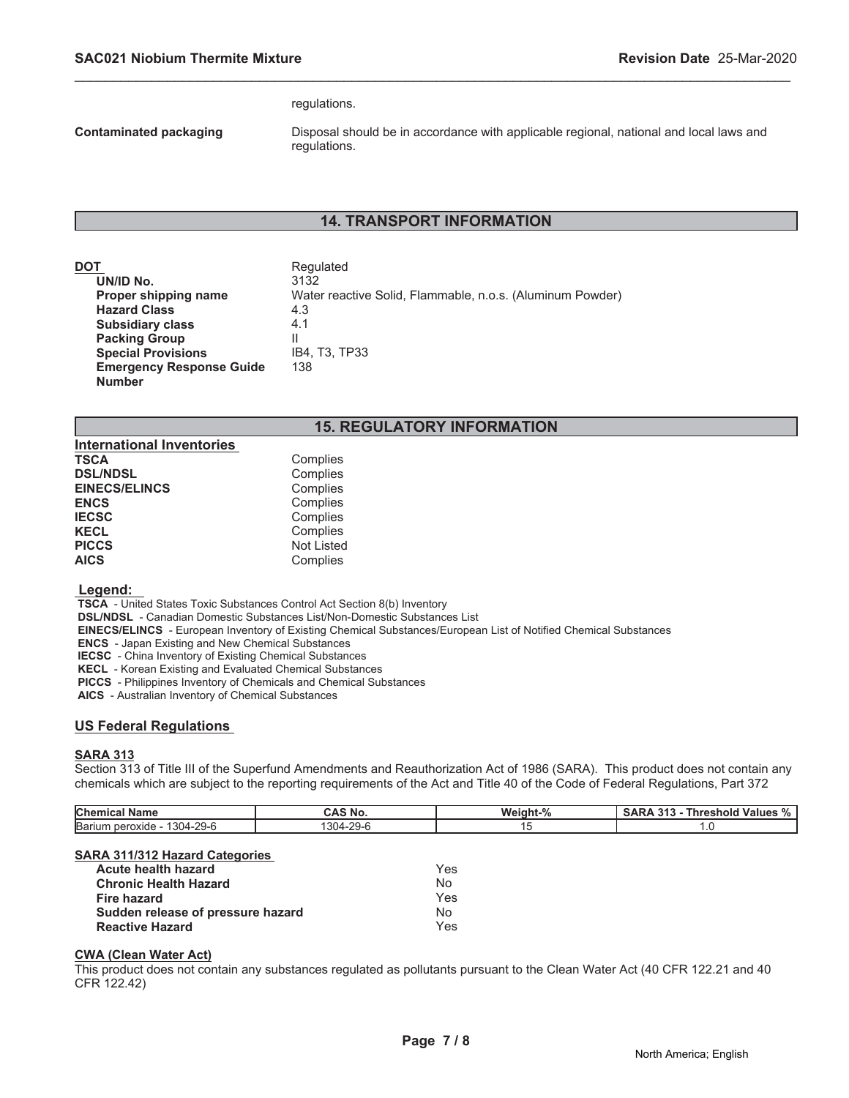#### regulations.

**Contaminated packaging** Disposal should be in accordance with applicable regional, national and local laws and regulations.

# **14. TRANSPORT INFORMATION**

\_\_\_\_\_\_\_\_\_\_\_\_\_\_\_\_\_\_\_\_\_\_\_\_\_\_\_\_\_\_\_\_\_\_\_\_\_\_\_\_\_\_\_\_\_\_\_\_\_\_\_\_\_\_\_\_\_\_\_\_\_\_\_\_\_\_\_\_\_\_\_\_\_\_\_\_\_\_\_\_\_\_\_\_\_\_\_\_\_\_\_\_\_

| DOT                             | Regulated                                                 |
|---------------------------------|-----------------------------------------------------------|
| UN/ID No.                       | 3132                                                      |
| Proper shipping name            | Water reactive Solid, Flammable, n.o.s. (Aluminum Powder) |
| <b>Hazard Class</b>             | 4.3                                                       |
| <b>Subsidiary class</b>         | 4.1                                                       |
| <b>Packing Group</b>            | Ш                                                         |
| <b>Special Provisions</b>       | IB4, T3, TP33                                             |
| <b>Emergency Response Guide</b> | 138                                                       |
| <b>Number</b>                   |                                                           |

# **15. REGULATORY INFORMATION**

| <b>International Inventories</b> |                   |
|----------------------------------|-------------------|
| <b>TSCA</b>                      | Complies          |
| <b>DSL/NDSL</b>                  | Complies          |
| <b>EINECS/ELINCS</b>             | Complies          |
| <b>ENCS</b>                      | Complies          |
| <b>IECSC</b>                     | Complies          |
| <b>KECL</b>                      | Complies          |
| <b>PICCS</b>                     | <b>Not Listed</b> |
| <b>AICS</b>                      | Complies          |

#### **Legend:**

 **TSCA** - United States Toxic Substances Control Act Section 8(b) Inventory

 **DSL/NDSL** - Canadian Domestic Substances List/Non-Domestic Substances List

 **EINECS/ELINCS** - European Inventory of Existing Chemical Substances/European List of Notified Chemical Substances

 **ENCS** - Japan Existing and New Chemical Substances

 **IECSC** - China Inventory of Existing Chemical Substances

 **KECL** - Korean Existing and Evaluated Chemical Substances

 **PICCS** - Philippines Inventory of Chemicals and Chemical Substances

 **AICS** - Australian Inventory of Chemical Substances

#### **US Federal Regulations**

#### **SARA 313**

Section 313 of Title III of the Superfund Amendments and Reauthorization Act of 1986 (SARA). This product does not contain any chemicals which are subject to the reporting requirements of the Act and Title 40 of the Code of Federal Regulations, Part 372

| Chemical<br><b>Name</b>                       | AA<br>'NO.      | $\Omega$<br>Weinht. | 24 <sub>2</sub><br><b>Values</b><br>areshold<br>70 |
|-----------------------------------------------|-----------------|---------------------|----------------------------------------------------|
| $-29-6$<br>Bariur<br>$304 -$<br><b>roxide</b> | $\Omega$<br>304 |                     |                                                    |

#### **SARA 311/312 Hazard Categories**

| <b>Acute health hazard</b>        | Yes. |
|-----------------------------------|------|
| <b>Chronic Health Hazard</b>      | N∩   |
| Fire hazard                       | Yes  |
| Sudden release of pressure hazard | N∩   |
| <b>Reactive Hazard</b>            | Yes. |

#### **CWA (Clean Water Act)**

This product does not contain any substances regulated as pollutants pursuant to the Clean Water Act (40 CFR 122.21 and 40 CFR 122.42)